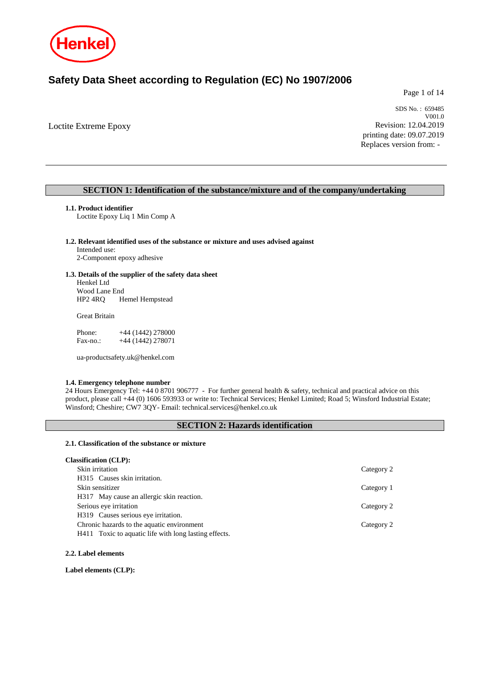

# **Safety Data Sheet according to Regulation (EC) No 1907/2006**

Page 1 of 14

Loctite Extreme Epoxy

SDS No. : 659485 V001.0 Revision: 12.04.2019 printing date: 09.07.2019 Replaces version from: -

### **SECTION 1: Identification of the substance/mixture and of the company/undertaking**

### **1.1. Product identifier**

Loctite Epoxy Liq 1 Min Comp A

### **1.2. Relevant identified uses of the substance or mixture and uses advised against**

Intended use: 2-Component epoxy adhesive

### **1.3. Details of the supplier of the safety data sheet**

Henkel Ltd Wood Lane End HP2 4RQ Hemel Hempstead

Great Britain

| Phone:   | $+44(1442)278000$ |
|----------|-------------------|
| Fax-no.: | $+44(1442)278071$ |

ua-productsafety.uk@henkel.com

#### **1.4. Emergency telephone number**

24 Hours Emergency Tel: +44 0 8701 906777 - For further general health & safety, technical and practical advice on this product, please call +44 (0) 1606 593933 or write to: Technical Services; Henkel Limited; Road 5; Winsford Industrial Estate; Winsford; Cheshire; CW7 3QY- Email: technical.services@henkel.co.uk

### **SECTION 2: Hazards identification**

#### **2.1. Classification of the substance or mixture**

#### **Classification (CLP):**

| Skin irritation                                       | Category 2 |
|-------------------------------------------------------|------------|
| H315 Causes skin irritation.                          |            |
| Skin sensitizer                                       | Category 1 |
| H317 May cause an allergic skin reaction.             |            |
| Serious eye irritation                                | Category 2 |
| H319 Causes serious eye irritation.                   |            |
| Chronic hazards to the aquatic environment            | Category 2 |
| H411 Toxic to aquatic life with long lasting effects. |            |

#### **2.2. Label elements**

**Label elements (CLP):**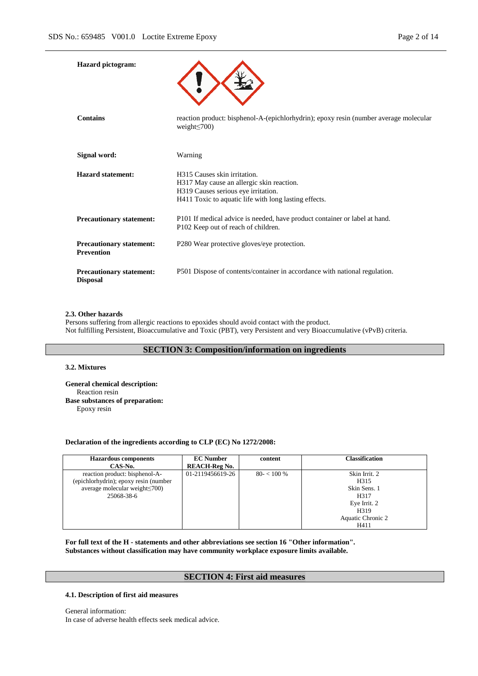| <b>Hazard</b> pictogram:                             |                                                                                                                                                                           |
|------------------------------------------------------|---------------------------------------------------------------------------------------------------------------------------------------------------------------------------|
| <b>Contains</b>                                      | reaction product: bisphenol-A-(epichlorhydrin); epoxy resin (number average molecular<br>weight $\leq$ 700)                                                               |
| Signal word:                                         | Warning                                                                                                                                                                   |
| <b>Hazard statement:</b>                             | H315 Causes skin irritation.<br>H317 May cause an allergic skin reaction.<br>H319 Causes serious eye irritation.<br>H411 Toxic to aquatic life with long lasting effects. |
| <b>Precautionary statement:</b>                      | P101 If medical advice is needed, have product container or label at hand.<br>P102 Keep out of reach of children.                                                         |
| <b>Precautionary statement:</b><br><b>Prevention</b> | P280 Wear protective gloves/eye protection.                                                                                                                               |
| <b>Precautionary statement:</b><br><b>Disposal</b>   | P501 Dispose of contents/container in accordance with national regulation.                                                                                                |

#### **2.3. Other hazards**

Persons suffering from allergic reactions to epoxides should avoid contact with the product. Not fulfilling Persistent, Bioaccumulative and Toxic (PBT), very Persistent and very Bioaccumulative (vPvB) criteria.

### **SECTION 3: Composition/information on ingredients**

#### **3.2. Mixtures**

**General chemical description:** Reaction resin **Base substances of preparation:** Epoxy resin

### **Declaration of the ingredients according to CLP (EC) No 1272/2008:**

| <b>Hazardous components</b>           | <b>EC</b> Number     | content      | <b>Classification</b> |
|---------------------------------------|----------------------|--------------|-----------------------|
| CAS-No.                               | <b>REACH-Reg No.</b> |              |                       |
| reaction product: bisphenol-A-        | 01-2119456619-26     | $80 - 100\%$ | Skin Irrit. 2         |
| (epichlorhydrin); epoxy resin (number |                      |              | H <sub>3</sub> 15     |
| average molecular weight $\leq 700$ ) |                      |              | Skin Sens. 1          |
| 25068-38-6                            |                      |              | H317                  |
|                                       |                      |              | Eye Irrit. 2          |
|                                       |                      |              | H <sub>3</sub> 19     |
|                                       |                      |              | Aquatic Chronic 2     |
|                                       |                      |              | H411                  |

**For full text of the H - statements and other abbreviations see section 16 "Other information". Substances without classification may have community workplace exposure limits available.**

### **SECTION 4: First aid measures**

### **4.1. Description of first aid measures**

General information: In case of adverse health effects seek medical advice.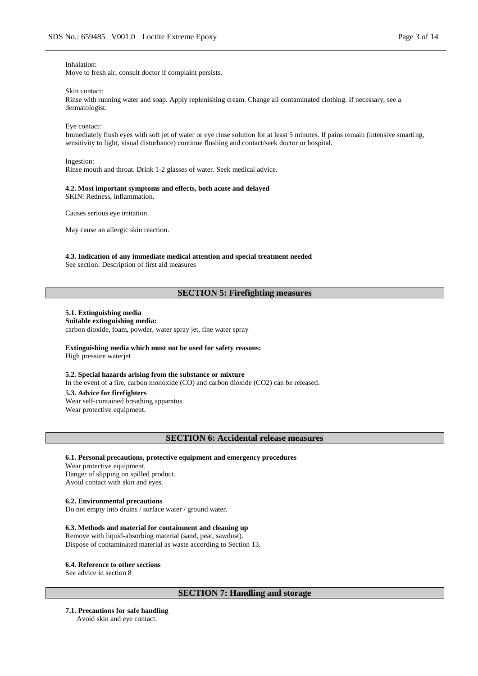#### Inhalation:

Move to fresh air, consult doctor if complaint persists.

#### Skin contact:

Rinse with running water and soap. Apply replenishing cream. Change all contaminated clothing. If necessary, see a dermatologist.

#### Eye contact:

Immediately flush eyes with soft jet of water or eye rinse solution for at least 5 minutes. If pains remain (intensive smarting, sensitivity to light, visual disturbance) continue flushing and contact/seek doctor or hospital.

#### Ingestion:

Rinse mouth and throat. Drink 1-2 glasses of water. Seek medical advice.

#### **4.2. Most important symptoms and effects, both acute and delayed**

SKIN: Redness, inflammation.

Causes serious eye irritation.

May cause an allergic skin reaction.

# **4.3. Indication of any immediate medical attention and special treatment needed**

See section: Description of first aid measures

### **SECTION 5: Firefighting measures**

### **5.1. Extinguishing media**

**Suitable extinguishing media:** carbon dioxide, foam, powder, water spray jet, fine water spray

#### **Extinguishing media which must not be used for safety reasons:** High pressure waterjet

#### **5.2. Special hazards arising from the substance or mixture**

In the event of a fire, carbon monoxide (CO) and carbon dioxide (CO2) can be released.

#### **5.3. Advice for firefighters**

Wear self-contained breathing apparatus. Wear protective equipment.

### **SECTION 6: Accidental release measures**

### **6.1. Personal precautions, protective equipment and emergency procedures**

Wear protective equipment. Danger of slipping on spilled product. Avoid contact with skin and eyes.

#### **6.2. Environmental precautions**

Do not empty into drains / surface water / ground water.

#### **6.3. Methods and material for containment and cleaning up**

Remove with liquid-absorbing material (sand, peat, sawdust). Dispose of contaminated material as waste according to Section 13.

#### **6.4. Reference to other sections**

See advice in section 8

### **SECTION 7: Handling and storage**

**7.1. Precautions for safe handling**

Avoid skin and eye contact.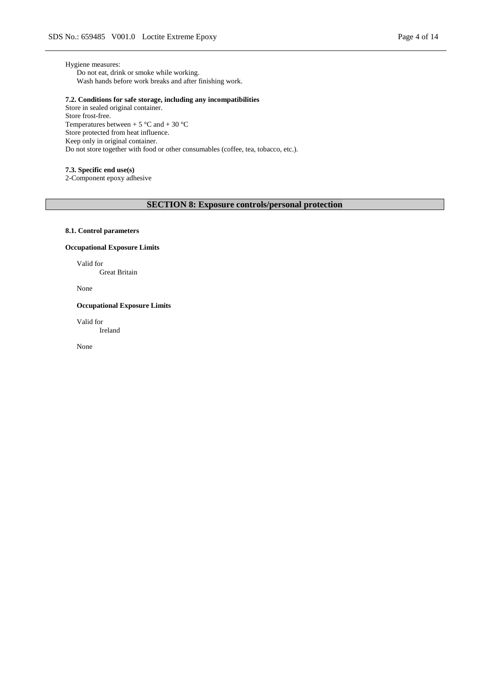Hygiene measures: Do not eat, drink or smoke while working. Wash hands before work breaks and after finishing work.

### **7.2. Conditions for safe storage, including any incompatibilities**

Store in sealed original container. Store frost-free. Temperatures between + 5  $^{\circ}$ C and + 30  $^{\circ}$ C Store protected from heat influence. Keep only in original container. Do not store together with food or other consumables (coffee, tea, tobacco, etc.).

### **7.3. Specific end use(s)**

2-Component epoxy adhesive

### **SECTION 8: Exposure controls/personal protection**

### **8.1. Control parameters**

#### **Occupational Exposure Limits**

Valid for Great Britain

None

#### **Occupational Exposure Limits**

Valid for Ireland

None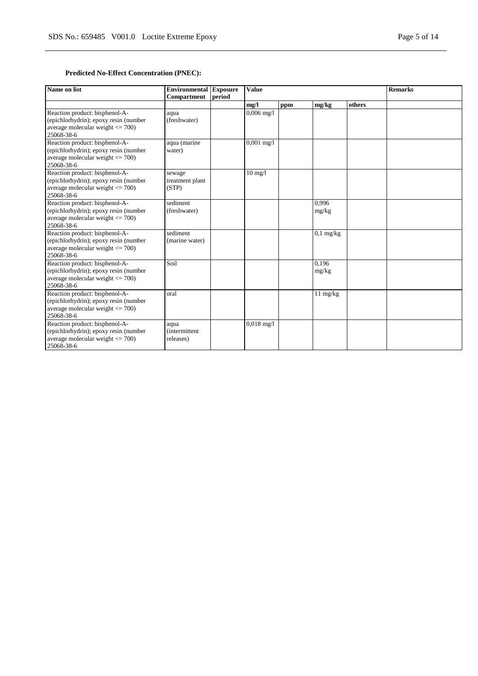### **Predicted No-Effect Concentration (PNEC):**

| Name on list                                                                                                                  | <b>Environmental Exposure</b><br>Compartment | period | <b>Value</b> |     |                    | <b>Remarks</b> |  |
|-------------------------------------------------------------------------------------------------------------------------------|----------------------------------------------|--------|--------------|-----|--------------------|----------------|--|
|                                                                                                                               |                                              |        | mg/l         | ppm | mg/kg              | others         |  |
| Reaction product: bisphenol-A-<br>(epichlorhydrin); epoxy resin (number<br>average molecular weight $\leq$ 700)<br>25068-38-6 | aqua<br>(freshwater)                         |        | $0,006$ mg/l |     |                    |                |  |
| Reaction product: bisphenol-A-<br>(epichlorhydrin); epoxy resin (number<br>average molecular weight $\leq$ 700)<br>25068-38-6 | aqua (marine<br>water)                       |        | $0,001$ mg/l |     |                    |                |  |
| Reaction product: bisphenol-A-<br>(epichlorhydrin); epoxy resin (number<br>average molecular weight $\leq$ 700)<br>25068-38-6 | sewage<br>treatment plant<br>(STP)           |        | $10$ mg/ $1$ |     |                    |                |  |
| Reaction product: bisphenol-A-<br>(epichlorhydrin); epoxy resin (number<br>average molecular weight $\leq$ 700)<br>25068-38-6 | sediment<br>(freshwater)                     |        |              |     | 0.996<br>mg/kg     |                |  |
| Reaction product: bisphenol-A-<br>(epichlorhydrin); epoxy resin (number<br>average molecular weight $\leq$ 700)<br>25068-38-6 | sediment<br>(marine water)                   |        |              |     | $0,1$ mg/kg        |                |  |
| Reaction product: bisphenol-A-<br>(epichlorhydrin); epoxy resin (number<br>average molecular weight $<= 700$ )<br>25068-38-6  | Soil                                         |        |              |     | 0.196<br>mg/kg     |                |  |
| Reaction product: bisphenol-A-<br>(epichlorhydrin); epoxy resin (number<br>average molecular weight $\leq$ 700)<br>25068-38-6 | oral                                         |        |              |     | $11 \text{ mg/kg}$ |                |  |
| Reaction product: bisphenol-A-<br>(epichlorhydrin); epoxy resin (number<br>average molecular weight $\leq$ 700)<br>25068-38-6 | aqua<br><i>(intermittent)</i><br>releases)   |        | $0.018$ mg/l |     |                    |                |  |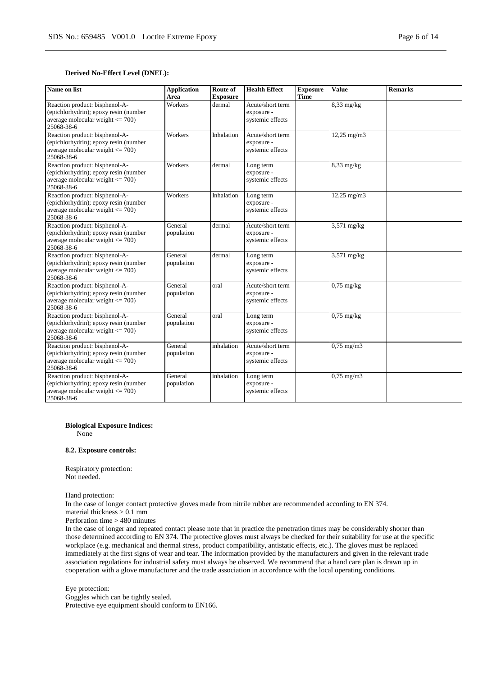### **Derived No-Effect Level (DNEL):**

| Name on list                                                                                                                  | <b>Application</b><br>Area | Route of<br><b>Exposure</b> | <b>Health Effect</b>                               | <b>Exposure</b><br><b>Time</b> | <b>Value</b>          | <b>Remarks</b> |
|-------------------------------------------------------------------------------------------------------------------------------|----------------------------|-----------------------------|----------------------------------------------------|--------------------------------|-----------------------|----------------|
| Reaction product: bisphenol-A-<br>(epichlorhydrin); epoxy resin (number<br>average molecular weight $\leq$ 700)<br>25068-38-6 | Workers                    | dermal                      | Acute/short term<br>exposure -<br>systemic effects |                                | $8,33$ mg/kg          |                |
| Reaction product: bisphenol-A-<br>(epichlorhydrin); epoxy resin (number<br>average molecular weight $\leq$ 700)<br>25068-38-6 | Workers                    | Inhalation                  | Acute/short term<br>exposure -<br>systemic effects |                                | 12,25 mg/m3           |                |
| Reaction product: bisphenol-A-<br>(epichlorhydrin); epoxy resin (number<br>average molecular weight $<= 700$ )<br>25068-38-6  | Workers                    | dermal                      | Long term<br>exposure -<br>systemic effects        |                                | $8,33$ mg/kg          |                |
| Reaction product: bisphenol-A-<br>(epichlorhydrin); epoxy resin (number<br>average molecular weight $\leq$ 700)<br>25068-38-6 | Workers                    | Inhalation                  | Long term<br>exposure -<br>systemic effects        |                                | 12,25 mg/m3           |                |
| Reaction product: bisphenol-A-<br>(epichlorhydrin); epoxy resin (number<br>average molecular weight $\leq$ 700)<br>25068-38-6 | General<br>population      | dermal                      | Acute/short term<br>exposure -<br>systemic effects |                                | $3,571$ mg/kg         |                |
| Reaction product: bisphenol-A-<br>(epichlorhydrin); epoxy resin (number<br>average molecular weight $\leq$ 700)<br>25068-38-6 | General<br>population      | dermal                      | Long term<br>exposure -<br>systemic effects        |                                | $3,571$ mg/kg         |                |
| Reaction product: bisphenol-A-<br>(epichlorhydrin); epoxy resin (number<br>average molecular weight $\leq$ 700)<br>25068-38-6 | General<br>population      | oral                        | Acute/short term<br>exposure -<br>systemic effects |                                | $0,75$ mg/kg          |                |
| Reaction product: bisphenol-A-<br>(epichlorhydrin); epoxy resin (number<br>average molecular weight $\leq$ 700)<br>25068-38-6 | General<br>population      | oral                        | Long term<br>exposure -<br>systemic effects        |                                | $0,75$ mg/kg          |                |
| Reaction product: bisphenol-A-<br>(epichlorhydrin); epoxy resin (number<br>average molecular weight $\leq$ 700)<br>25068-38-6 | General<br>population      | inhalation                  | Acute/short term<br>exposure -<br>systemic effects |                                | $0,75$ mg/m $3$       |                |
| Reaction product: bisphenol-A-<br>(epichlorhydrin); epoxy resin (number<br>average molecular weight $\leq$ 700)<br>25068-38-6 | General<br>population      | inhalation                  | Long term<br>exposure -<br>systemic effects        |                                | $0,75 \text{ mg/m}$ 3 |                |

**Biological Exposure Indices:**

None

#### **8.2. Exposure controls:**

Respiratory protection: Not needed.

Hand protection:

In the case of longer contact protective gloves made from nitrile rubber are recommended according to EN 374. material thickness > 0.1 mm

Perforation time > 480 minutes

In the case of longer and repeated contact please note that in practice the penetration times may be considerably shorter than those determined according to EN 374. The protective gloves must always be checked for their suitability for use at the specific workplace (e.g. mechanical and thermal stress, product compatibility, antistatic effects, etc.). The gloves must be replaced immediately at the first signs of wear and tear. The information provided by the manufacturers and given in the relevant trade association regulations for industrial safety must always be observed. We recommend that a hand care plan is drawn up in cooperation with a glove manufacturer and the trade association in accordance with the local operating conditions.

Eye protection: Goggles which can be tightly sealed. Protective eye equipment should conform to EN166.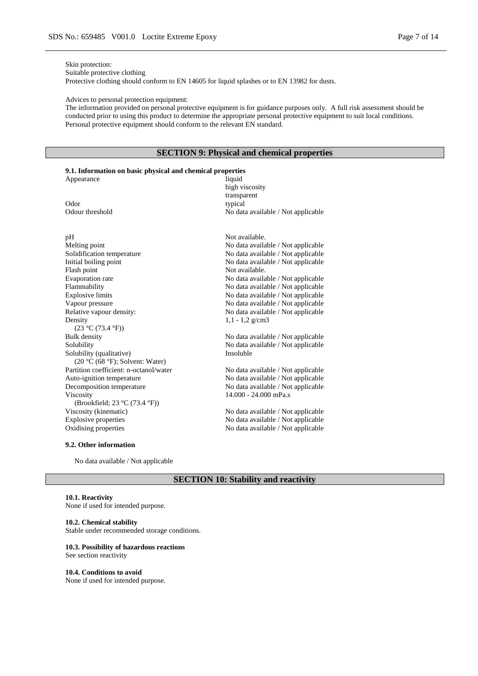### Skin protection:

Suitable protective clothing

Protective clothing should conform to EN 14605 for liquid splashes or to EN 13982 for dusts.

Advices to personal protection equipment:

The information provided on personal protective equipment is for guidance purposes only. A full risk assessment should be conducted prior to using this product to determine the appropriate personal protective equipment to suit local conditions. Personal protective equipment should conform to the relevant EN standard.

### **SECTION 9: Physical and chemical properties**

### **9.1. Information on basic physical and chemical properties**

| Appearance      | liquid                             |
|-----------------|------------------------------------|
|                 | high viscosity                     |
|                 | transparent                        |
| Odor            | typical                            |
| Odour threshold | No data available / Not applicable |
|                 |                                    |
|                 |                                    |

# pH Not available.<br>
Melting point contracts are all the Not available. Solidification temperature No data available / Not applicable<br>Initial boiling point No data available / Not applicable Initial boiling point  $\blacksquare$  No data available / Not applicable Flash point  $\blacksquare$ Evaporation rate No data available / Not applicable Flammability<br>Explosive limits Superson and the Modata available / Not applicable<br>No data available / Not applicable Vapour pressure No data available / Not applicable Relative vapour density:<br>
No data available / Not applicable Relative vapour density: Density  $(23 °C (73.4 °F))$ <br>Bulk density Solubility No data available / Not applicable Solubility (qualitative) (20 °C (68 °F); Solvent: Water) Partition coefficient: n-octanol/water No data available / Not applicable Auto-ignition temperature No data available / Not applicable Decomposition temperature No data available / Not applicable Viscosity (Brookfield; 23 °C (73.4 °F)) Viscosity (kinematic) No data available / Not applicable Explosive properties No data available / Not applicable

#### **9.2. Other information**

No data available / Not applicable

Not available. No data available / Not applicable No data available / Not applicable

No data available / Not applicable

No data available / Not applicable Insoluble

1,1 - 1,2 g/cm3

14.000 - 24.000 mPa.s

Explosive properties No data available / Not applicable Oxidising properties No data available / Not applicable No data available / Not applicable

### **SECTION 10: Stability and reactivity**

#### **10.1. Reactivity**

None if used for intended purpose.

#### **10.2. Chemical stability**

Stable under recommended storage conditions.

#### **10.3. Possibility of hazardous reactions**

See section reactivity

#### **10.4. Conditions to avoid**

None if used for intended purpose.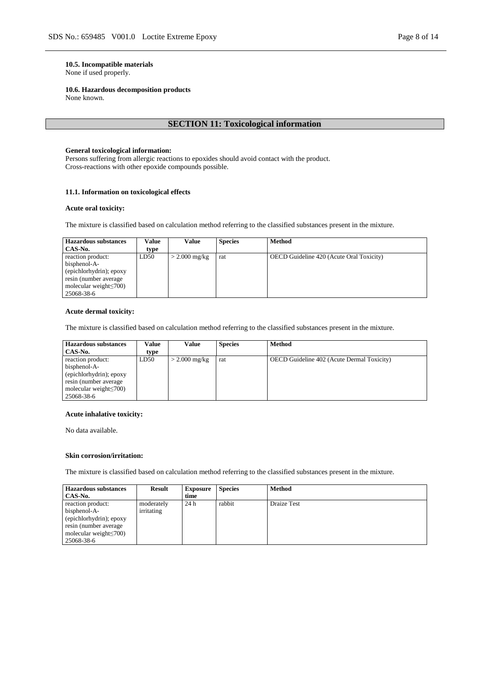### **10.5. Incompatible materials**

None if used properly.

#### **10.6. Hazardous decomposition products**

None known.

### **SECTION 11: Toxicological information**

#### **General toxicological information:**

Persons suffering from allergic reactions to epoxides should avoid contact with the product. Cross-reactions with other epoxide compounds possible.

### **11.1. Information on toxicological effects**

#### **Acute oral toxicity:**

The mixture is classified based on calculation method referring to the classified substances present in the mixture.

| <b>Hazardous substances</b><br>CAS-No.                                                                                                | Value<br>type | Value           | <b>Species</b> | <b>Method</b>                                   |
|---------------------------------------------------------------------------------------------------------------------------------------|---------------|-----------------|----------------|-------------------------------------------------|
| reaction product:<br>bisphenol-A-<br>(epichlorhydrin); epoxy<br>resin (number average)<br>molecular weight $\leq 700$ )<br>25068-38-6 | LD50          | $>$ 2.000 mg/kg | rat            | <b>OECD</b> Guideline 420 (Acute Oral Toxicity) |

### **Acute dermal toxicity:**

The mixture is classified based on calculation method referring to the classified substances present in the mixture.

| <b>Hazardous substances</b>   | Value | Value           | <b>Species</b> | <b>Method</b>                                     |
|-------------------------------|-------|-----------------|----------------|---------------------------------------------------|
| CAS-No.                       | type  |                 |                |                                                   |
| reaction product:             | LD50  | $>$ 2.000 mg/kg | rat            | <b>OECD</b> Guideline 402 (Acute Dermal Toxicity) |
| bisphenol-A-                  |       |                 |                |                                                   |
| (epichlorhydrin); epoxy       |       |                 |                |                                                   |
| resin (number average)        |       |                 |                |                                                   |
| molecular weight $\leq 700$ ) |       |                 |                |                                                   |
| 25068-38-6                    |       |                 |                |                                                   |

#### **Acute inhalative toxicity:**

No data available.

#### **Skin corrosion/irritation:**

The mixture is classified based on calculation method referring to the classified substances present in the mixture.

| <b>Hazardous substances</b><br>CAS-No.                                                                                               | <b>Result</b>            | <b>Exposure</b><br>time | <b>Species</b> | <b>Method</b>      |
|--------------------------------------------------------------------------------------------------------------------------------------|--------------------------|-------------------------|----------------|--------------------|
| reaction product:<br>bisphenol-A-<br>(epichlorhydrin); epoxy<br>resin (number average<br>molecular weight $\leq 700$ )<br>25068-38-6 | moderately<br>irritating | 24h                     | rabbit         | <b>Draize Test</b> |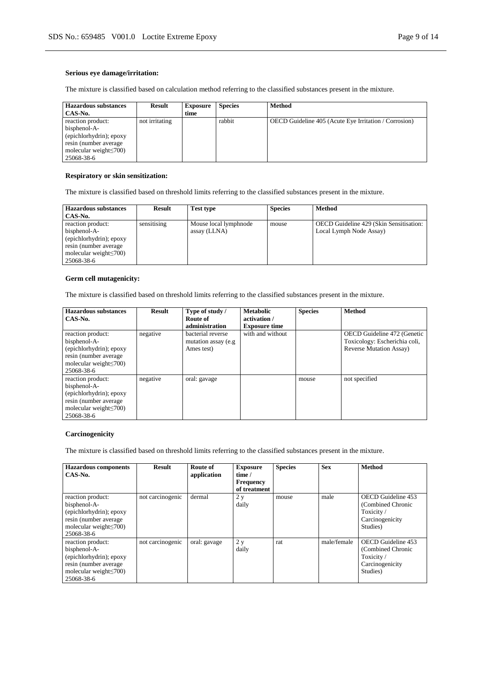### **Serious eye damage/irritation:**

The mixture is classified based on calculation method referring to the classified substances present in the mixture.

| <b>Hazardous substances</b><br>CAS-No.                                                                                                | <b>Result</b>  | <b>Exposure</b><br>time | <b>Species</b> | <b>Method</b>                                         |
|---------------------------------------------------------------------------------------------------------------------------------------|----------------|-------------------------|----------------|-------------------------------------------------------|
| reaction product:<br>bisphenol-A-<br>(epichlorhydrin); epoxy<br>resin (number average)<br>molecular weight $\leq 700$ )<br>25068-38-6 | not irritating |                         | rabbit         | OECD Guideline 405 (Acute Eye Irritation / Corrosion) |

#### **Respiratory or skin sensitization:**

The mixture is classified based on threshold limits referring to the classified substances present in the mixture.

| <b>Hazardous substances</b><br>CAS-No.                                                                                                | <b>Result</b> | <b>Test type</b>                      | <b>Species</b> | <b>Method</b>                                                      |
|---------------------------------------------------------------------------------------------------------------------------------------|---------------|---------------------------------------|----------------|--------------------------------------------------------------------|
| reaction product:<br>bisphenol-A-<br>(epichlorhydrin); epoxy<br>resin (number average)<br>molecular weight $\leq 700$ )<br>25068-38-6 | sensitising   | Mouse local lymphnode<br>assay (LLNA) | mouse          | OECD Guideline 429 (Skin Sensitisation:<br>Local Lymph Node Assay) |

#### **Germ cell mutagenicity:**

The mixture is classified based on threshold limits referring to the classified substances present in the mixture.

| <b>Hazardous substances</b><br>CAS-No.                                                                                                | Result   | Type of study /<br>Route of                             | <b>Metabolic</b><br>activation / | <b>Species</b> | <b>Method</b>                                                                                   |
|---------------------------------------------------------------------------------------------------------------------------------------|----------|---------------------------------------------------------|----------------------------------|----------------|-------------------------------------------------------------------------------------------------|
|                                                                                                                                       |          | administration                                          | <b>Exposure time</b>             |                |                                                                                                 |
| reaction product:<br>bisphenol-A-<br>(epichlorhydrin); epoxy<br>resin (number average)<br>molecular weight $\leq 700$ )<br>25068-38-6 | negative | bacterial reverse<br>mutation assay (e.g.<br>Ames test) | with and without                 |                | OECD Guideline 472 (Genetic<br>Toxicology: Escherichia coli,<br><b>Reverse Mutation Assay</b> ) |
| reaction product:<br>bisphenol-A-<br>(epichlorhydrin); epoxy<br>resin (number average)<br>molecular weight $\leq$ 700)<br>25068-38-6  | negative | oral: gavage                                            |                                  | mouse          | not specified                                                                                   |

### **Carcinogenicity**

The mixture is classified based on threshold limits referring to the classified substances present in the mixture.

| <b>Hazardous components</b><br>$CAS-N0$ .                                                                                             | <b>Result</b>    | Route of<br>application | <b>Exposure</b><br>time /<br><b>Frequency</b><br>of treatment | <b>Species</b> | <b>Sex</b>  | <b>Method</b>                                                                       |
|---------------------------------------------------------------------------------------------------------------------------------------|------------------|-------------------------|---------------------------------------------------------------|----------------|-------------|-------------------------------------------------------------------------------------|
| reaction product:<br>bisphenol-A-<br>(epichlorhydrin); epoxy<br>resin (number average)<br>molecular weight $\leq 700$ )<br>25068-38-6 | not carcinogenic | dermal                  | 2y<br>daily                                                   | mouse          | male        | OECD Guideline 453<br>(Combined Chronic<br>Toxicity/<br>Carcinogenicity<br>Studies) |
| reaction product:<br>bisphenol-A-<br>(epichlorhydrin); epoxy<br>resin (number average)<br>molecular weight $\leq$ 700)<br>25068-38-6  | not carcinogenic | oral: gavage            | 2y<br>daily                                                   | rat            | male/female | OECD Guideline 453<br>(Combined Chronic<br>Toxicity/<br>Carcinogenicity<br>Studies) |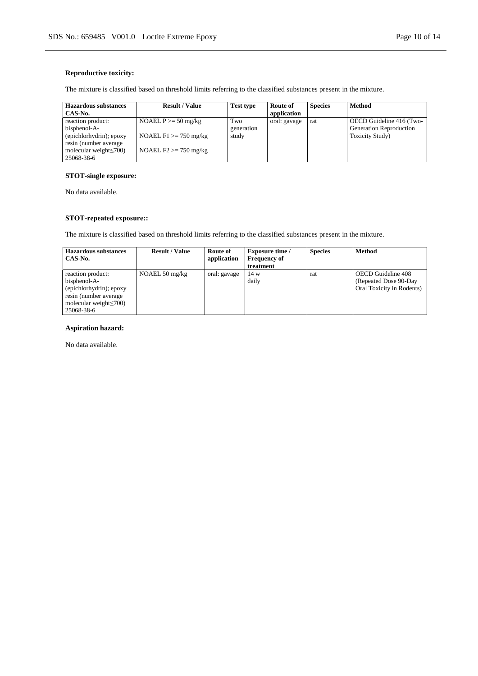### **Reproductive toxicity:**

The mixture is classified based on threshold limits referring to the classified substances present in the mixture.

| <b>Hazardous substances</b>   | <b>Result / Value</b>    | Test type  | Route of     | <b>Species</b> | Method                         |
|-------------------------------|--------------------------|------------|--------------|----------------|--------------------------------|
| CAS-No.                       |                          |            | application  |                |                                |
| reaction product:             | NOAEL $P \ge 50$ mg/kg   | Two        | oral: gavage | rat            | OECD Guideline 416 (Two-       |
| bisphenol-A-                  |                          | generation |              |                | <b>Generation Reproduction</b> |
| (epichlorhydrin); epoxy       | NOAEL $F1 \ge 750$ mg/kg | study      |              |                | Toxicity Study)                |
| resin (number average)        |                          |            |              |                |                                |
| molecular weight $\leq 700$ ) | NOAEL $F2 \ge 750$ mg/kg |            |              |                |                                |
| 25068-38-6                    |                          |            |              |                |                                |

### **STOT-single exposure:**

No data available.

### **STOT-repeated exposure::**

The mixture is classified based on threshold limits referring to the classified substances present in the mixture.

| <b>Hazardous substances</b><br>CAS-No.                                                                                                | <b>Result / Value</b>    | Route of<br>application | <b>Exposure time</b> /<br><b>Frequency of</b><br>treatment | <b>Species</b> | <b>Method</b>                                                             |
|---------------------------------------------------------------------------------------------------------------------------------------|--------------------------|-------------------------|------------------------------------------------------------|----------------|---------------------------------------------------------------------------|
| reaction product:<br>bisphenol-A-<br>(epichlorhydrin); epoxy<br>resin (number average)<br>molecular weight $\leq 700$ )<br>25068-38-6 | NOAEL $50 \text{ mg/kg}$ | oral: gavage            | 14 w<br>daily                                              | rat            | OECD Guideline 408<br>(Repeated Dose 90-Day)<br>Oral Toxicity in Rodents) |

### **Aspiration hazard:**

No data available.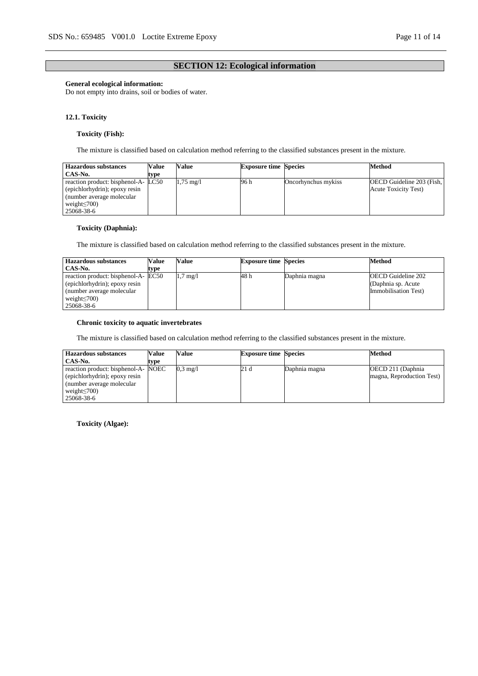### **SECTION 12: Ecological information**

### **General ecological information:**

Do not empty into drains, soil or bodies of water.

#### **12.1. Toxicity**

### **Toxicity (Fish):**

The mixture is classified based on calculation method referring to the classified substances present in the mixture.

| <b>Hazardous substances</b>         | Value | Value               | <b>Exposure time Species</b> |                     | Method                           |
|-------------------------------------|-------|---------------------|------------------------------|---------------------|----------------------------------|
| CAS-No.                             | type  |                     |                              |                     |                                  |
| reaction product: bisphenol-A- LC50 |       | $1,75 \text{ mg}/1$ | 96 h                         | Oncorhynchus mykiss | <b>OECD</b> Guideline 203 (Fish, |
| (epichlorhydrin); epoxy resin       |       |                     |                              |                     | <b>Acute Toxicity Test</b> )     |
| (number average molecular)          |       |                     |                              |                     |                                  |
| weight $\leq 700$ )                 |       |                     |                              |                     |                                  |
| 25068-38-6                          |       |                     |                              |                     |                                  |

### **Toxicity (Daphnia):**

The mixture is classified based on calculation method referring to the classified substances present in the mixture.

| <b>Hazardous substances</b>                                                                                                             | Value | Value              | <b>Exposure time Species</b> |               | Method                                                                   |
|-----------------------------------------------------------------------------------------------------------------------------------------|-------|--------------------|------------------------------|---------------|--------------------------------------------------------------------------|
| CAS-No.                                                                                                                                 | tvpe  |                    |                              |               |                                                                          |
| reaction product: bisphenol-A- EC50<br>(epichlorhydrin); epoxy resin<br>(number average molecular)<br>weight $\leq 700$ )<br>25068-38-6 |       | $1.7 \text{ mg}/1$ | 48 h                         | Daphnia magna | <b>OECD</b> Guideline 202<br>(Daphnia sp. Acute)<br>Immobilisation Test) |

### **Chronic toxicity to aquatic invertebrates**

The mixture is classified based on calculation method referring to the classified substances present in the mixture.

| <b>Hazardous substances</b>                                                                                                             | Value | Value              | <b>Exposure time Species</b> |               | <b>Method</b>                                   |
|-----------------------------------------------------------------------------------------------------------------------------------------|-------|--------------------|------------------------------|---------------|-------------------------------------------------|
| CAS-No.                                                                                                                                 | type  |                    |                              |               |                                                 |
| reaction product: bisphenol-A- NOEC<br>(epichlorhydrin); epoxy resin<br>(number average molecular)<br>weight $\leq 700$ )<br>25068-38-6 |       | $0.3 \text{ mg}/1$ | 21 d                         | Daphnia magna | OECD 211 (Daphnia)<br>magna, Reproduction Test) |

**Toxicity (Algae):**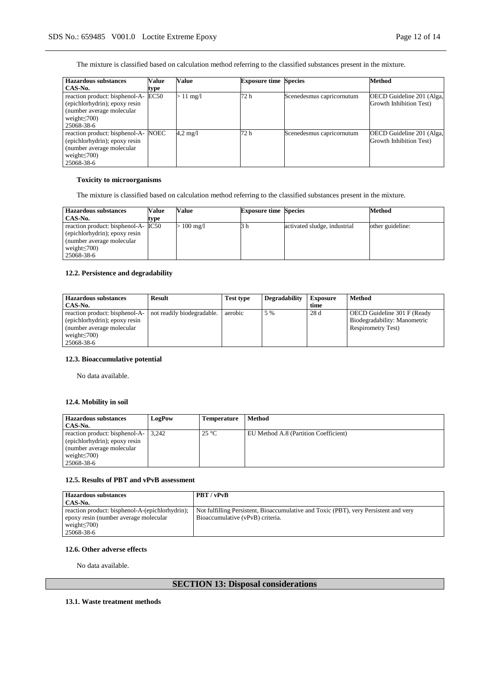The mixture is classified based on calculation method referring to the classified substances present in the mixture.

| <b>Hazardous</b> substances                                                                                                       | Value | Value              | <b>Exposure time Species</b> |                           | <b>Method</b>                                        |
|-----------------------------------------------------------------------------------------------------------------------------------|-------|--------------------|------------------------------|---------------------------|------------------------------------------------------|
| CAS-No.                                                                                                                           | type  |                    |                              |                           |                                                      |
| reaction product: bisphenol-A-<br>(epichlorhydrin); epoxy resin<br>(number average molecular)<br>weight $\leq$ 700)<br>25068-38-6 | EC50  | $>11 \text{ mg/l}$ | 72 h                         | Scenedesmus capricornutum | OECD Guideline 201 (Alga,<br>Growth Inhibition Test) |
| reaction product: bisphenol-A-<br>(epichlorhydrin); epoxy resin<br>(number average molecular)<br>weight $\leq$ 700)<br>25068-38-6 | NOEC  | $4.2 \text{ mg}/1$ | 72 h                         | Scenedesmus capricornutum | OECD Guideline 201 (Alga,<br>Growth Inhibition Test) |

### **Toxicity to microorganisms**

The mixture is classified based on calculation method referring to the classified substances present in the mixture.

| <b>Hazardous substances</b>                                                                                                             | Value | Value            | <b>Exposure time Species</b> |                              | Method           |
|-----------------------------------------------------------------------------------------------------------------------------------------|-------|------------------|------------------------------|------------------------------|------------------|
| CAS-No.                                                                                                                                 | type  |                  |                              |                              |                  |
| reaction product: bisphenol-A- IC50<br>(epichlorhydrin); epoxy resin<br>(number average molecular)<br>weight $\leq 700$ )<br>25068-38-6 |       | $\cdot 100$ mg/l | 5 h                          | activated sludge, industrial | other guideline: |

### **12.2. Persistence and degradability**

| <b>Hazardous substances</b><br>CAS-No.                                                                                             | <b>Result</b>              | <b>Test type</b> | <b>Degradability</b> | <b>Exposure</b><br>time | <b>Method</b>                                                                             |
|------------------------------------------------------------------------------------------------------------------------------------|----------------------------|------------------|----------------------|-------------------------|-------------------------------------------------------------------------------------------|
| reaction product: bisphenol-A-<br>(epichlorhydrin); epoxy resin<br>(number average molecular)<br>weight $\leq 700$ )<br>25068-38-6 | not readily biodegradable. | aerobic          | 5 %                  | 28 d                    | OECD Guideline 301 F (Ready<br>Biodegradability: Manometric<br><b>Respirometry Test</b> ) |

### **12.3. Bioaccumulative potential**

No data available.

### **12.4. Mobility in soil**

| <b>Hazardous substances</b>          | LogPow | Temperature   | Method                                |
|--------------------------------------|--------|---------------|---------------------------------------|
| CAS-No.                              |        |               |                                       |
| reaction product: bisphenol-A-13,242 |        | $25^{\circ}C$ | EU Method A.8 (Partition Coefficient) |
| (epichlorhydrin); epoxy resin        |        |               |                                       |
| (number average molecular)           |        |               |                                       |
| weight $\leq 700$ )                  |        |               |                                       |
| 25068-38-6                           |        |               |                                       |

### **12.5. Results of PBT and vPvB assessment**

| <b>Hazardous substances</b>                     | <b>PBT</b> / vPvB                                                                    |
|-------------------------------------------------|--------------------------------------------------------------------------------------|
| CAS-No.                                         |                                                                                      |
| reaction product: bisphenol-A-(epichlorhydrin); | Not fulfilling Persistent, Bioaccumulative and Toxic (PBT), very Persistent and very |
| epoxy resin (number average molecular           | Bioaccumulative (vPvB) criteria.                                                     |
| weight $\leq 700$ )                             |                                                                                      |
| 25068-38-6                                      |                                                                                      |

### **12.6. Other adverse effects**

No data available.

## **SECTION 13: Disposal considerations**

### **13.1. Waste treatment methods**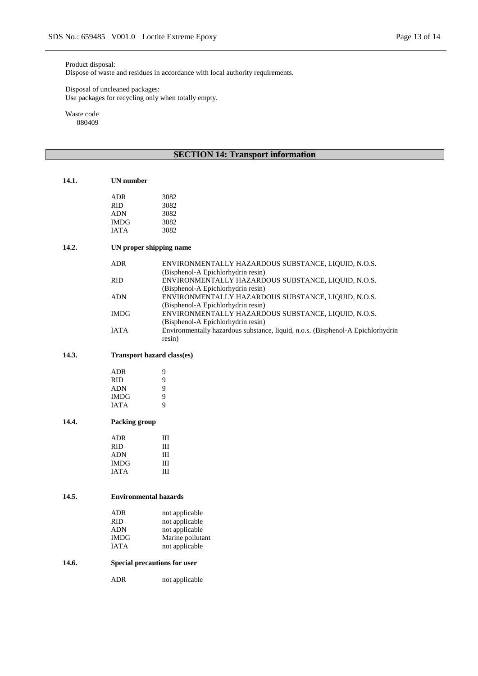### Product disposal:

Dispose of waste and residues in accordance with local authority requirements.

#### Disposal of uncleaned packages: Use packages for recycling only when totally empty.

Waste code 080409

# **SECTION 14: Transport information**

| 14.1. | <b>UN</b> number             |                                                                                 |
|-------|------------------------------|---------------------------------------------------------------------------------|
|       | <b>ADR</b>                   | 3082                                                                            |
|       | <b>RID</b>                   | 3082                                                                            |
|       | <b>ADN</b>                   | 3082                                                                            |
|       | <b>IMDG</b>                  | 3082                                                                            |
|       | IATA                         | 3082                                                                            |
| 14.2. |                              | UN proper shipping name                                                         |
|       |                              |                                                                                 |
|       | <b>ADR</b>                   | ENVIRONMENTALLY HAZARDOUS SUBSTANCE, LIQUID, N.O.S.                             |
|       |                              | (Bisphenol-A Epichlorhydrin resin)                                              |
|       | <b>RID</b>                   | ENVIRONMENTALLY HAZARDOUS SUBSTANCE, LIQUID, N.O.S.                             |
|       |                              | (Bisphenol-A Epichlorhydrin resin)                                              |
|       | <b>ADN</b>                   | ENVIRONMENTALLY HAZARDOUS SUBSTANCE, LIQUID, N.O.S.                             |
|       |                              | (Bisphenol-A Epichlorhydrin resin)                                              |
|       |                              |                                                                                 |
|       | <b>IMDG</b>                  | ENVIRONMENTALLY HAZARDOUS SUBSTANCE, LIQUID, N.O.S.                             |
|       |                              | (Bisphenol-A Epichlorhydrin resin)                                              |
|       | <b>IATA</b>                  | Environmentally hazardous substance, liquid, n.o.s. (Bisphenol-A Epichlorhydrin |
|       |                              | resin)                                                                          |
| 14.3. |                              | Transport hazard class(es)                                                      |
|       | <b>ADR</b>                   | 9                                                                               |
|       | <b>RID</b>                   | 9                                                                               |
|       | <b>ADN</b>                   | 9                                                                               |
|       | <b>IMDG</b>                  | 9                                                                               |
|       | <b>IATA</b>                  | 9                                                                               |
|       |                              |                                                                                 |
| 14.4. | Packing group                |                                                                                 |
|       | <b>ADR</b>                   | Ш                                                                               |
|       | <b>RID</b>                   | Ш                                                                               |
|       | <b>ADN</b>                   | III                                                                             |
|       | <b>IMDG</b>                  | Ш                                                                               |
|       | <b>IATA</b>                  | III                                                                             |
|       |                              |                                                                                 |
| 14.5. | <b>Environmental hazards</b> |                                                                                 |
|       |                              |                                                                                 |
|       | <b>ADR</b>                   | not applicable                                                                  |
|       | <b>RID</b>                   | not applicable                                                                  |
|       | <b>ADN</b>                   | not applicable                                                                  |
|       | <b>IMDG</b>                  | Marine pollutant                                                                |
|       | <b>IATA</b>                  | not applicable                                                                  |
| 14.6. |                              | Special precautions for user                                                    |
|       | ADR                          | not applicable                                                                  |
|       |                              |                                                                                 |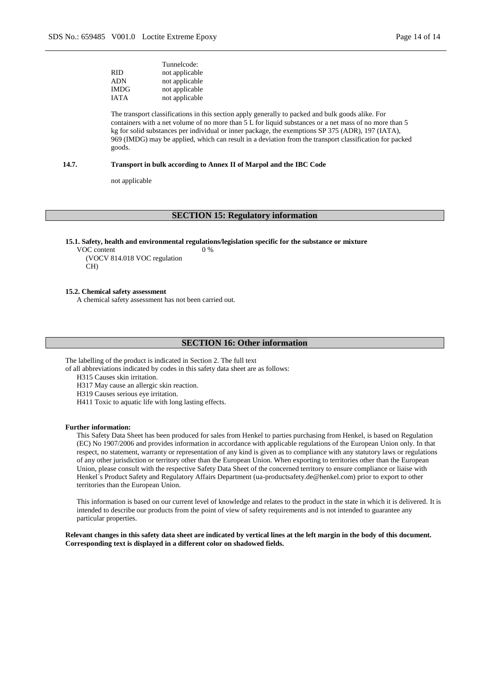| Tunnelcode:    |
|----------------|
| not applicable |
| not applicable |
| not applicable |
| not applicable |
|                |

The transport classifications in this section apply generally to packed and bulk goods alike. For containers with a net volume of no more than 5 L for liquid substances or a net mass of no more than 5 kg for solid substances per individual or inner package, the exemptions SP 375 (ADR), 197 (IATA), 969 (IMDG) may be applied, which can result in a deviation from the transport classification for packed goods.

#### **14.7. Transport in bulk according to Annex II of Marpol and the IBC Code**

not applicable

### **SECTION 15: Regulatory information**

**15.1. Safety, health and environmental regulations/legislation specific for the substance or mixture**

0 %

VOC content (VOCV 814.018 VOC regulation CH)

#### **15.2. Chemical safety assessment**

A chemical safety assessment has not been carried out.

#### **SECTION 16: Other information**

The labelling of the product is indicated in Section 2. The full text

of all abbreviations indicated by codes in this safety data sheet are as follows:

H315 Causes skin irritation.

H317 May cause an allergic skin reaction.

H319 Causes serious eye irritation.

H411 Toxic to aquatic life with long lasting effects.

#### **Further information:**

This Safety Data Sheet has been produced for sales from Henkel to parties purchasing from Henkel, is based on Regulation (EC) No 1907/2006 and provides information in accordance with applicable regulations of the European Union only. In that respect, no statement, warranty or representation of any kind is given as to compliance with any statutory laws or regulations of any other jurisdiction or territory other than the European Union. When exporting to territories other than the European Union, please consult with the respective Safety Data Sheet of the concerned territory to ensure compliance or liaise with Henkel´s Product Safety and Regulatory Affairs Department (ua-productsafety.de@henkel.com) prior to export to other territories than the European Union.

This information is based on our current level of knowledge and relates to the product in the state in which it is delivered. It is intended to describe our products from the point of view of safety requirements and is not intended to guarantee any particular properties.

**Relevant changes in this safety data sheet are indicated by vertical lines at the left margin in the body of this document. Corresponding text is displayed in a different color on shadowed fields.**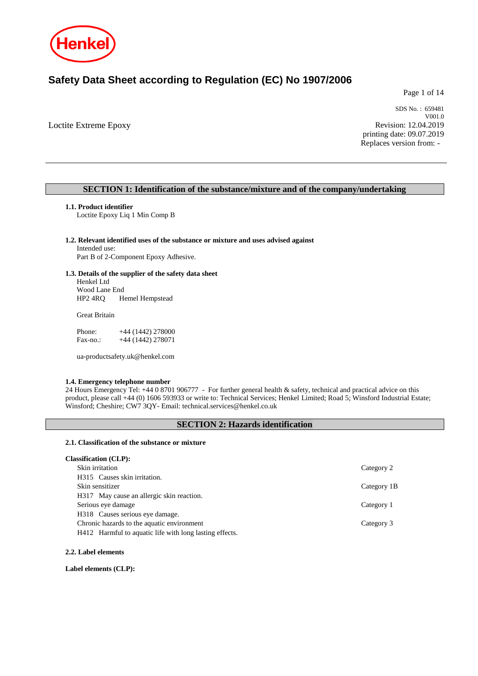

# **Safety Data Sheet according to Regulation (EC) No 1907/2006**

Page 1 of 14

Loctite Extreme Epoxy

SDS No. : 659481 V001.0 Revision: 12.04.2019 printing date: 09.07.2019 Replaces version from: -

### **SECTION 1: Identification of the substance/mixture and of the company/undertaking**

#### **1.1. Product identifier**

Loctite Epoxy Liq 1 Min Comp B

### **1.2. Relevant identified uses of the substance or mixture and uses advised against** Intended use:

Part B of 2-Component Epoxy Adhesive.

### **1.3. Details of the supplier of the safety data sheet**

Henkel Ltd Wood Lane End<br>HP2 4RQ H Hemel Hempstead

Great Britain

Phone: +44 (1442) 278000 Fax-no.: +44 (1442) 278071

ua-productsafety.uk@henkel.com

### **1.4. Emergency telephone number**

24 Hours Emergency Tel: +44 0 8701 906777 - For further general health & safety, technical and practical advice on this product, please call +44 (0) 1606 593933 or write to: Technical Services; Henkel Limited; Road 5; Winsford Industrial Estate; Winsford; Cheshire; CW7 3QY- Email: technical.services@henkel.co.uk

### **SECTION 2: Hazards identification**

#### **2.1. Classification of the substance or mixture**

#### **Classification (CLP):**

| Skin irritation                                         | Category 2  |
|---------------------------------------------------------|-------------|
| H315 Causes skin irritation.                            |             |
| Skin sensitizer                                         | Category 1B |
| H317 May cause an allergic skin reaction.               |             |
| Serious eye damage                                      | Category 1  |
| H318 Causes serious eye damage.                         |             |
| Chronic hazards to the aquatic environment              | Category 3  |
| H412 Harmful to aquatic life with long lasting effects. |             |
|                                                         |             |

#### **2.2. Label elements**

**Label elements (CLP):**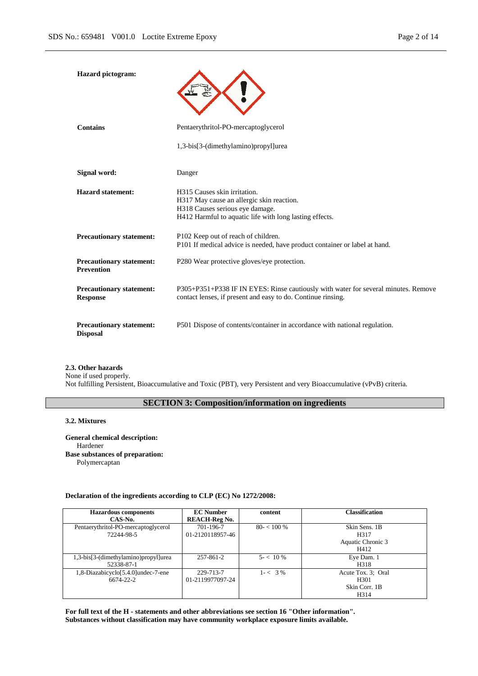| <b>Hazard</b> pictogram:                             |                                                                                                                                                                         |
|------------------------------------------------------|-------------------------------------------------------------------------------------------------------------------------------------------------------------------------|
| <b>Contains</b>                                      | Pentaerythritol-PO-mercaptoglycerol                                                                                                                                     |
|                                                      | 1,3-bis[3-(dimethylamino)propyl]urea                                                                                                                                    |
| Signal word:                                         | Danger                                                                                                                                                                  |
| <b>Hazard statement:</b>                             | H315 Causes skin irritation.<br>H317 May cause an allergic skin reaction.<br>H318 Causes serious eye damage.<br>H412 Harmful to aquatic life with long lasting effects. |
| <b>Precautionary statement:</b>                      | P102 Keep out of reach of children.<br>P101 If medical advice is needed, have product container or label at hand.                                                       |
| <b>Precautionary statement:</b><br><b>Prevention</b> | P280 Wear protective gloves/eye protection.                                                                                                                             |
| <b>Precautionary statement:</b><br><b>Response</b>   | P305+P351+P338 IF IN EYES: Rinse cautiously with water for several minutes. Remove<br>contact lenses, if present and easy to do. Continue rinsing.                      |
| <b>Precautionary statement:</b><br><b>Disposal</b>   | P501 Dispose of contents/container in accordance with national regulation.                                                                                              |

## **2.3. Other hazards**

None if used properly. Not fulfilling Persistent, Bioaccumulative and Toxic (PBT), very Persistent and very Bioaccumulative (vPvB) criteria.

### **SECTION 3: Composition/information on ingredients**

### **3.2. Mixtures**

**General chemical description:** Hardener **Base substances of preparation:** Polymercaptan

### **Declaration of the ingredients according to CLP (EC) No 1272/2008:**

| <b>Hazardous components</b>          | <b>EC</b> Number     | content      | <b>Classification</b> |
|--------------------------------------|----------------------|--------------|-----------------------|
| CAS-No.                              | <b>REACH-Reg No.</b> |              |                       |
| Pentaerythritol-PO-mercaptoglycerol  | 701-196-7            | $80 - 100\%$ | Skin Sens. 1B         |
| 72244-98-5                           | 01-2120118957-46     |              | H317                  |
|                                      |                      |              | Aquatic Chronic 3     |
|                                      |                      |              | H412                  |
| 1,3-bis[3-(dimethylamino)propyl]urea | $257 - 861 - 2$      | $5 - 10\%$   | Eye Dam. 1            |
| 52338-87-1                           |                      |              | H318                  |
| 1,8-Diazabicyclo[5.4.0]undec-7-ene   | 229-713-7            | $1 - < 3\%$  | Acute Tox. 3: Oral    |
| 6674-22-2                            | 01-2119977097-24     |              | H <sub>301</sub>      |
|                                      |                      |              | Skin Corr. 1B         |
|                                      |                      |              | H314                  |

**For full text of the H - statements and other abbreviations see section 16 "Other information". Substances without classification may have community workplace exposure limits available.**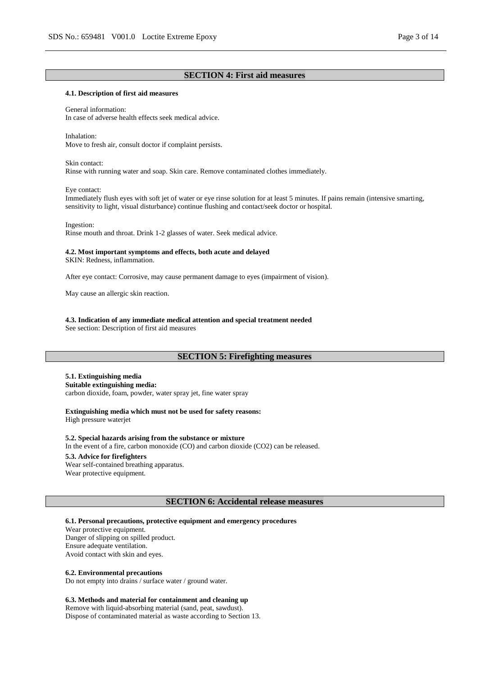### **SECTION 4: First aid measures**

#### **4.1. Description of first aid measures**

General information: In case of adverse health effects seek medical advice.

Inhalation: Move to fresh air, consult doctor if complaint persists.

Skin contact:

Rinse with running water and soap. Skin care. Remove contaminated clothes immediately.

Eye contact:

Immediately flush eyes with soft jet of water or eye rinse solution for at least 5 minutes. If pains remain (intensive smarting, sensitivity to light, visual disturbance) continue flushing and contact/seek doctor or hospital.

Ingestion:

Rinse mouth and throat. Drink 1-2 glasses of water. Seek medical advice.

#### **4.2. Most important symptoms and effects, both acute and delayed**

SKIN: Redness, inflammation.

After eye contact: Corrosive, may cause permanent damage to eyes (impairment of vision).

May cause an allergic skin reaction.

**4.3. Indication of any immediate medical attention and special treatment needed**

See section: Description of first aid measures

### **SECTION 5: Firefighting measures**

### **5.1. Extinguishing media**

**Suitable extinguishing media:**

carbon dioxide, foam, powder, water spray jet, fine water spray

#### **Extinguishing media which must not be used for safety reasons:** High pressure waterjet

**5.2. Special hazards arising from the substance or mixture**

In the event of a fire, carbon monoxide (CO) and carbon dioxide (CO2) can be released.

### **5.3. Advice for firefighters**

Wear self-contained breathing apparatus. Wear protective equipment.

### **SECTION 6: Accidental release measures**

#### **6.1. Personal precautions, protective equipment and emergency procedures**

Wear protective equipment. Danger of slipping on spilled product. Ensure adequate ventilation. Avoid contact with skin and eyes.

#### **6.2. Environmental precautions**

Do not empty into drains / surface water / ground water.

#### **6.3. Methods and material for containment and cleaning up**

Remove with liquid-absorbing material (sand, peat, sawdust). Dispose of contaminated material as waste according to Section 13.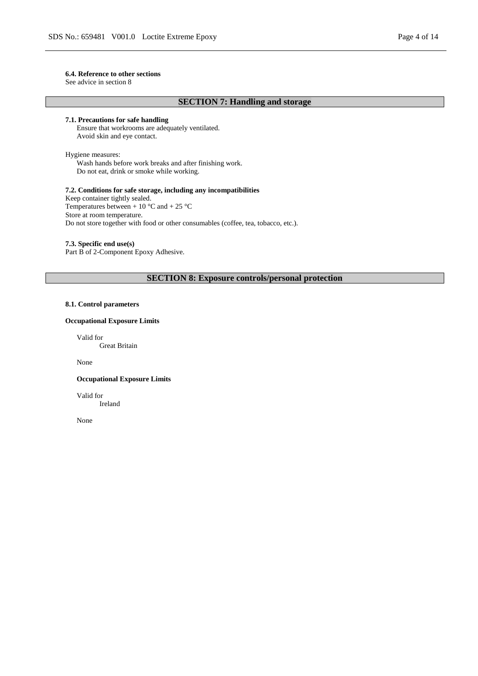#### **6.4. Reference to other sections**

See advice in section 8

### **SECTION 7: Handling and storage**

### **7.1. Precautions for safe handling**

Ensure that workrooms are adequately ventilated. Avoid skin and eye contact.

Hygiene measures: Wash hands before work breaks and after finishing work. Do not eat, drink or smoke while working.

### **7.2. Conditions for safe storage, including any incompatibilities**

Keep container tightly sealed. Temperatures between + 10  $^{\circ}$ C and + 25  $^{\circ}$ C Store at room temperature. Do not store together with food or other consumables (coffee, tea, tobacco, etc.).

### **7.3. Specific end use(s)**

Part B of 2-Component Epoxy Adhesive.

### **SECTION 8: Exposure controls/personal protection**

### **8.1. Control parameters**

### **Occupational Exposure Limits**

Valid for

Great Britain

None

#### **Occupational Exposure Limits**

Valid for

Ireland

None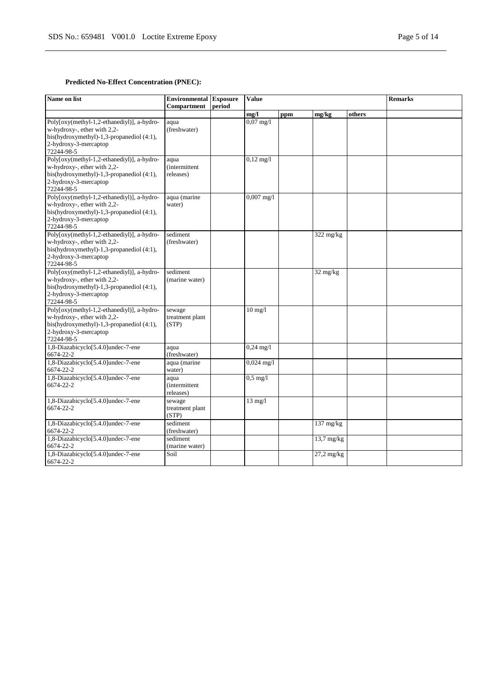### **Predicted No-Effect Concentration (PNEC):**

| Name on list                                                                                                                                                  | <b>Environmental Exposure</b><br>Compartment | period | <b>Value</b>         |     |                     |        | <b>Remarks</b> |
|---------------------------------------------------------------------------------------------------------------------------------------------------------------|----------------------------------------------|--------|----------------------|-----|---------------------|--------|----------------|
|                                                                                                                                                               |                                              |        | mg/l                 | ppm | mg/kg               | others |                |
| Poly[oxy(methyl-1,2-ethanediyl)], a-hydro-<br>w-hydroxy-, ether with 2,2-<br>bis(hydroxymethyl)-1,3-propanediol (4:1),<br>2-hydroxy-3-mercaptop<br>72244-98-5 | aqua<br>(freshwater)                         |        | $0,07 \text{ mg}/1$  |     |                     |        |                |
| Poly[oxy(methyl-1,2-ethanediyl)], a-hydro-<br>w-hydroxy-, ether with 2,2-<br>bis(hydroxymethyl)-1,3-propanediol (4:1),<br>2-hydroxy-3-mercaptop<br>72244-98-5 | aqua<br><i>(intermittent)</i><br>releases)   |        | $0,12 \text{ mg}/1$  |     |                     |        |                |
| Poly[oxy(methyl-1,2-ethanediyl)], a-hydro-<br>w-hydroxy-, ether with 2,2-<br>bis(hydroxymethyl)-1,3-propanediol (4:1),<br>2-hydroxy-3-mercaptop<br>72244-98-5 | aqua (marine<br>water)                       |        | $0,007$ mg/l         |     |                     |        |                |
| Poly[oxy(methyl-1,2-ethanediyl)], a-hydro-<br>w-hydroxy-, ether with 2,2-<br>bis(hydroxymethyl)-1,3-propanediol (4:1),<br>2-hydroxy-3-mercaptop<br>72244-98-5 | sediment<br>(freshwater)                     |        |                      |     | $322$ mg/kg         |        |                |
| Poly[oxy(methyl-1,2-ethanediyl)], a-hydro-<br>w-hydroxy-, ether with 2,2-<br>bis(hydroxymethyl)-1,3-propanediol (4:1),<br>2-hydroxy-3-mercaptop<br>72244-98-5 | sediment<br>(marine water)                   |        |                      |     | $32 \text{ mg/kg}$  |        |                |
| Poly[oxy(methyl-1,2-ethanediyl)], a-hydro-<br>w-hydroxy-, ether with 2,2-<br>bis(hydroxymethyl)-1,3-propanediol (4:1),<br>2-hydroxy-3-mercaptop<br>72244-98-5 | sewage<br>treatment plant<br>(STP)           |        | $10$ mg/ $1$         |     |                     |        |                |
| 1,8-Diazabicyclo[5.4.0]undec-7-ene<br>6674-22-2                                                                                                               | aqua<br>(freshwater)                         |        | $0,24 \text{ mg}/1$  |     |                     |        |                |
| 1,8-Diazabicyclo[5.4.0]undec-7-ene<br>6674-22-2                                                                                                               | aqua (marine<br>water)                       |        | $0,024 \text{ mg}/1$ |     |                     |        |                |
| 1,8-Diazabicyclo[5.4.0]undec-7-ene<br>6674-22-2                                                                                                               | aqua<br><i>(intermittent)</i><br>releases)   |        | $0.5$ mg/l           |     |                     |        |                |
| 1,8-Diazabicyclo[5.4.0]undec-7-ene<br>6674-22-2                                                                                                               | sewage<br>treatment plant<br>(STP)           |        | $13 \text{ mg}/l$    |     |                     |        |                |
| 1,8-Diazabicyclo[5.4.0]undec-7-ene<br>6674-22-2                                                                                                               | sediment<br>(freshwater)                     |        |                      |     | $137 \text{ mg/kg}$ |        |                |
| 1,8-Diazabicyclo[5.4.0]undec-7-ene<br>6674-22-2                                                                                                               | sediment<br>(marine water)                   |        |                      |     | $13,7$ mg/kg        |        |                |
| 1,8-Diazabicyclo[5.4.0]undec-7-ene<br>6674-22-2                                                                                                               | Soil                                         |        |                      |     | $27,2$ mg/kg        |        |                |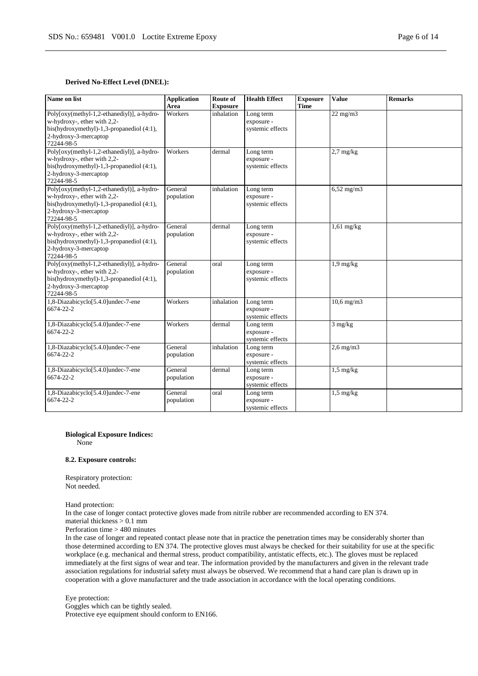#### **Derived No-Effect Level (DNEL):**

| Name on list                                                                                                                                                  | <b>Application</b><br>Area | Route of<br><b>Exposure</b> | <b>Health Effect</b>                        | <b>Exposure</b><br><b>Time</b> | <b>Value</b>      | <b>Remarks</b> |
|---------------------------------------------------------------------------------------------------------------------------------------------------------------|----------------------------|-----------------------------|---------------------------------------------|--------------------------------|-------------------|----------------|
| Poly[oxy(methyl-1,2-ethanediyl)], a-hydro-<br>w-hydroxy-, ether with 2,2-<br>bis(hydroxymethyl)-1,3-propanediol (4:1),<br>2-hydroxy-3-mercaptop<br>72244-98-5 | Workers                    | inhalation                  | Long term<br>exposure -<br>systemic effects |                                | $22$ mg/m $3$     |                |
| Poly[oxy(methyl-1,2-ethanediyl)], a-hydro-<br>w-hydroxy-, ether with 2,2-<br>bis(hydroxymethyl)-1,3-propanediol (4:1),<br>2-hydroxy-3-mercaptop<br>72244-98-5 | Workers                    | dermal                      | Long term<br>exposure -<br>systemic effects |                                | $2.7$ mg/kg       |                |
| Poly[oxy(methyl-1,2-ethanediyl)], a-hydro-<br>w-hydroxy-, ether with 2,2-<br>bis(hydroxymethyl)-1,3-propanediol (4:1),<br>2-hydroxy-3-mercaptop<br>72244-98-5 | General<br>population      | inhalation                  | Long term<br>exposure -<br>systemic effects |                                | $6,52$ mg/m $3$   |                |
| Poly[oxy(methyl-1,2-ethanediyl)], a-hydro-<br>w-hydroxy-, ether with 2,2-<br>bis(hydroxymethyl)-1,3-propanediol (4:1),<br>2-hydroxy-3-mercaptop<br>72244-98-5 | General<br>population      | dermal                      | Long term<br>exposure -<br>systemic effects |                                | $1,61$ mg/kg      |                |
| Poly[oxy(methyl-1,2-ethanediyl)], a-hydro-<br>w-hydroxy-, ether with 2,2-<br>bis(hydroxymethyl)-1,3-propanediol (4:1),<br>2-hydroxy-3-mercaptop<br>72244-98-5 | General<br>population      | oral                        | Long term<br>exposure -<br>systemic effects |                                | $1,9$ mg/kg       |                |
| 1,8-Diazabicyclo[5.4.0]undec-7-ene<br>6674-22-2                                                                                                               | Workers                    | inhalation                  | Long term<br>exposure -<br>systemic effects |                                | $10.6$ mg/m $3$   |                |
| 1,8-Diazabicyclo[5.4.0]undec-7-ene<br>6674-22-2                                                                                                               | Workers                    | dermal                      | Long term<br>exposure -<br>systemic effects |                                | $3 \text{ mg/kg}$ |                |
| 1,8-Diazabicyclo[5.4.0]undec-7-ene<br>6674-22-2                                                                                                               | General<br>population      | inhalation                  | Long term<br>exposure -<br>systemic effects |                                | $2,6$ mg/m $3$    |                |
| 1,8-Diazabicyclo[5.4.0]undec-7-ene<br>6674-22-2                                                                                                               | General<br>population      | dermal                      | Long term<br>exposure -<br>systemic effects |                                | $1,5$ mg/kg       |                |
| 1,8-Diazabicyclo[5.4.0]undec-7-ene<br>6674-22-2                                                                                                               | General<br>population      | oral                        | Long term<br>exposure -<br>systemic effects |                                | $1,5$ mg/kg       |                |

#### **Biological Exposure Indices:**

None

#### **8.2. Exposure controls:**

Respiratory protection: Not needed.

Hand protection:

In the case of longer contact protective gloves made from nitrile rubber are recommended according to EN 374. material thickness > 0.1 mm

Perforation time > 480 minutes

In the case of longer and repeated contact please note that in practice the penetration times may be considerably shorter than those determined according to EN 374. The protective gloves must always be checked for their suitability for use at the specific workplace (e.g. mechanical and thermal stress, product compatibility, antistatic effects, etc.). The gloves must be replaced immediately at the first signs of wear and tear. The information provided by the manufacturers and given in the relevant trade association regulations for industrial safety must always be observed. We recommend that a hand care plan is drawn up in cooperation with a glove manufacturer and the trade association in accordance with the local operating conditions.

Eye protection:

Goggles which can be tightly sealed. Protective eye equipment should conform to EN166.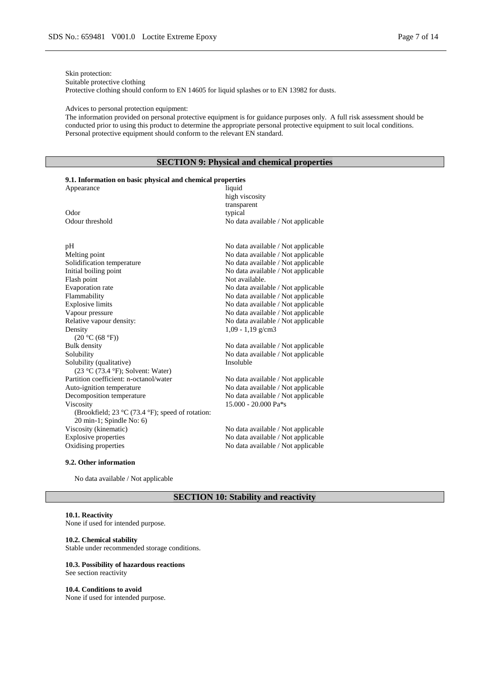Skin protection:

Suitable protective clothing

Protective clothing should conform to EN 14605 for liquid splashes or to EN 13982 for dusts.

#### Advices to personal protection equipment:

The information provided on personal protective equipment is for guidance purposes only. A full risk assessment should be conducted prior to using this product to determine the appropriate personal protective equipment to suit local conditions. Personal protective equipment should conform to the relevant EN standard.

### **SECTION 9: Physical and chemical properties**

#### **9.1. Information on basic physical and chemical properties** Appearance

|                                                                 | high viscosity<br>transparent      |
|-----------------------------------------------------------------|------------------------------------|
| Odor                                                            | typical                            |
| Odour threshold                                                 | No data available / Not applicable |
| pН                                                              | No data available / Not applicable |
| Melting point                                                   | No data available / Not applicable |
| Solidification temperature                                      | No data available / Not applicable |
| Initial boiling point                                           | No data available / Not applicable |
| Flash point                                                     | Not available.                     |
| Evaporation rate                                                | No data available / Not applicable |
| Flammability                                                    | No data available / Not applicable |
| <b>Explosive limits</b>                                         | No data available / Not applicable |
| Vapour pressure                                                 | No data available / Not applicable |
| Relative vapour density:                                        | No data available / Not applicable |
| Density                                                         | $1,09 - 1,19$ g/cm3                |
| (20 °C (68 °F))                                                 |                                    |
| <b>Bulk density</b>                                             | No data available / Not applicable |
| Solubility                                                      | No data available / Not applicable |
| Solubility (qualitative)                                        | Insoluble                          |
| $(23 °C (73.4 °F))$ ; Solvent: Water)                           |                                    |
| Partition coefficient: n-octanol/water                          | No data available / Not applicable |
| Auto-ignition temperature                                       | No data available / Not applicable |
| Decomposition temperature                                       | No data available / Not applicable |
| Viscosity                                                       | $15.000 - 20.000 \text{ Pa}$ *s    |
| (Brookfield; 23 $\rm{°C}$ (73.4 $\rm{°F}$ ); speed of rotation: |                                    |
| 20 min-1; Spindle No: 6)                                        |                                    |
| Viscosity (kinematic)                                           | No data available / Not applicable |
| <b>Explosive properties</b>                                     | No data available / Not applicable |
| Oxidising properties                                            | No data available / Not applicable |
|                                                                 |                                    |

### **9.2. Other information**

No data available / Not applicable

### **SECTION 10: Stability and reactivity**

#### **10.1. Reactivity**

None if used for intended purpose.

#### **10.2. Chemical stability**

Stable under recommended storage conditions.

### **10.3. Possibility of hazardous reactions**

See section reactivity

## **10.4. Conditions to avoid**

None if used for intended purpose.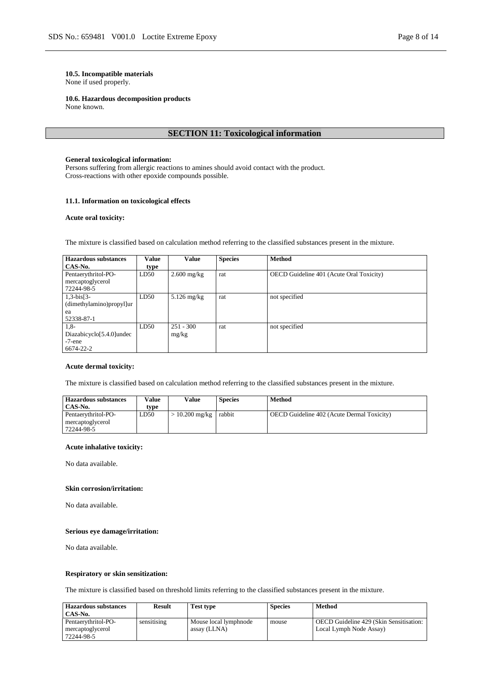#### **10.5. Incompatible materials** None if used properly.

# **10.6. Hazardous decomposition products**

None known.

### **SECTION 11: Toxicological information**

#### **General toxicological information:**

Persons suffering from allergic reactions to amines should avoid contact with the product. Cross-reactions with other epoxide compounds possible.

#### **11.1. Information on toxicological effects**

#### **Acute oral toxicity:**

The mixture is classified based on calculation method referring to the classified substances present in the mixture.

| <b>Hazardous substances</b> | Value | <b>Value</b>  | <b>Species</b> | <b>Method</b>                            |
|-----------------------------|-------|---------------|----------------|------------------------------------------|
| CAS-No.                     | type  |               |                |                                          |
| Pentaerythritol-PO-         | LD50  | $2.600$ mg/kg | rat            | OECD Guideline 401 (Acute Oral Toxicity) |
| mercaptoglycerol            |       |               |                |                                          |
| 72244-98-5                  |       |               |                |                                          |
| $1, 3-bis[3-$               | LD50  | $5.126$ mg/kg | rat            | not specified                            |
| (dimethylamino)propyl]ur    |       |               |                |                                          |
| ea                          |       |               |                |                                          |
| 52338-87-1                  |       |               |                |                                          |
| $1,8-$                      | LD50  | $251 - 300$   | rat            | not specified                            |
| Diazabicyclo[5.4.0]undec    |       | mg/kg         |                |                                          |
| $-7$ -ene                   |       |               |                |                                          |
| 6674-22-2                   |       |               |                |                                          |

#### **Acute dermal toxicity:**

The mixture is classified based on calculation method referring to the classified substances present in the mixture.

| <b>Hazardous substances</b>                           | Value | Value                 | <b>Species</b> | Method                                            |
|-------------------------------------------------------|-------|-----------------------|----------------|---------------------------------------------------|
| CAS-No.                                               | tvpe  |                       |                |                                                   |
| Pentaerythritol-PO-<br>mercaptoglycerol<br>72244-98-5 | LD50  | $10.200$ mg/kg rabbit |                | <b>OECD</b> Guideline 402 (Acute Dermal Toxicity) |

### **Acute inhalative toxicity:**

No data available.

#### **Skin corrosion/irritation:**

No data available.

#### **Serious eye damage/irritation:**

No data available.

#### **Respiratory or skin sensitization:**

The mixture is classified based on threshold limits referring to the classified substances present in the mixture.

| <b>Hazardous substances</b><br>CAS-No.                | <b>Result</b> | Test type                             | <b>Species</b> | Method                                                             |
|-------------------------------------------------------|---------------|---------------------------------------|----------------|--------------------------------------------------------------------|
| Pentaerythritol-PO-<br>mercaptoglycerol<br>72244-98-5 | sensitising   | Mouse local lymphnode<br>assay (LLNA) | mouse          | OECD Guideline 429 (Skin Sensitisation:<br>Local Lymph Node Assay) |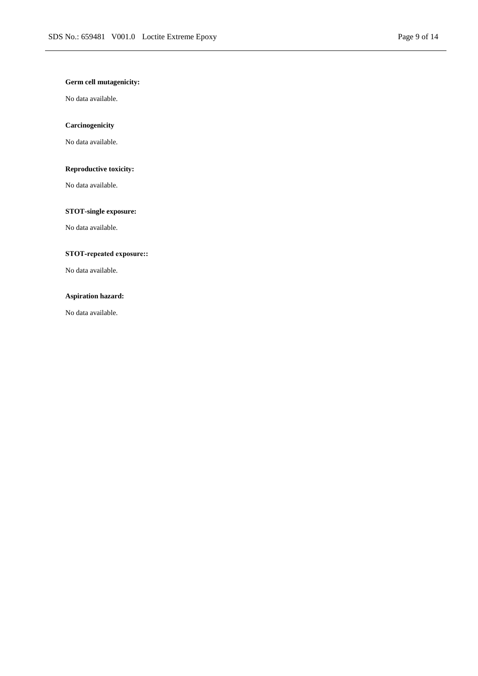### **Germ cell mutagenicity:**

No data available.

### **Carcinogenicity**

No data available.

### **Reproductive toxicity:**

No data available.

### **STOT-single exposure:**

No data available.

### **STOT-repeated exposure::**

No data available.

### **Aspiration hazard:**

No data available.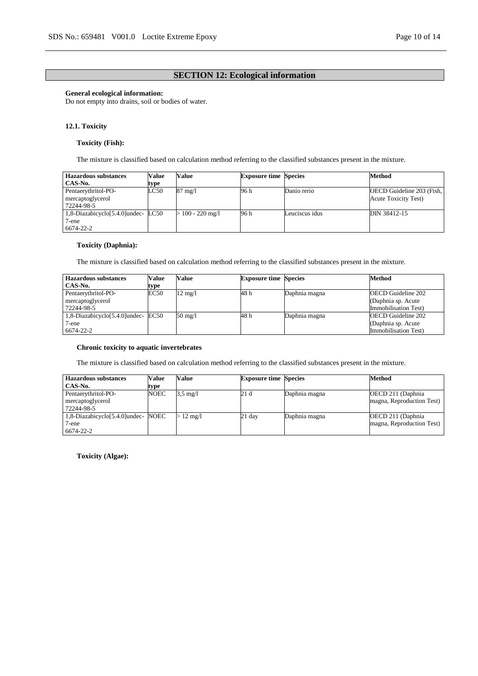### **SECTION 12: Ecological information**

### **General ecological information:**

Do not empty into drains, soil or bodies of water.

#### **12.1. Toxicity**

#### **Toxicity (Fish):**

The mixture is classified based on calculation method referring to the classified substances present in the mixture.

| <b>Hazardous substances</b>       | Value | Value             | <b>Exposure time Species</b> |                | Method                       |
|-----------------------------------|-------|-------------------|------------------------------|----------------|------------------------------|
| CAS-No.                           | type  |                   |                              |                |                              |
| Pentaerythritol-PO-               | LC50  | $87 \text{ mg}/1$ | 96 h                         | Danio rerio    | OECD Guideline 203 (Fish,    |
| mercaptoglycerol                  |       |                   |                              |                | <b>Acute Toxicity Test</b> ) |
| 72244-98-5                        |       |                   |                              |                |                              |
| 1,8-Diazabicyclo[5.4.0]undec-LC50 |       | $100 - 220$ mg/l  | 96 h                         | Leuciscus idus | DIN 38412-15                 |
| 7-ene                             |       |                   |                              |                |                              |
| 6674-22-2                         |       |                   |                              |                |                              |

#### **Toxicity (Daphnia):**

The mixture is classified based on calculation method referring to the classified substances present in the mixture.

| Hazardous substances          | Value | Value             | <b>Exposure time Species</b> |               | Method                    |
|-------------------------------|-------|-------------------|------------------------------|---------------|---------------------------|
| CAS-No.                       | type  |                   |                              |               |                           |
| Pentaerythritol-PO-           | EC50  | $12 \text{ mg}/1$ | 48 h                         | Daphnia magna | <b>OECD</b> Guideline 202 |
| mercaptoglycerol              |       |                   |                              |               | (Daphnia sp. Acute        |
| 72244-98-5                    |       |                   |                              |               | Immobilisation Test)      |
| 1,8-Diazabicyclo[5.4.0]undec- | EC50  | 50 mg/l           | 48 h                         | Daphnia magna | <b>OECD</b> Guideline 202 |
| 7-ene                         |       |                   |                              |               | (Daphnia sp. Acute        |
| 6674-22-2                     |       |                   |                              |               | Immobilisation Test)      |

#### **Chronic toxicity to aquatic invertebrates**

The mixture is classified based on calculation method referring to the classified substances present in the mixture.

| <b>Hazardous substances</b>        | Value | <b>Value</b>       | <b>Exposure time Species</b> |               | <b>Method</b>             |
|------------------------------------|-------|--------------------|------------------------------|---------------|---------------------------|
| CAS-No.                            | type  |                    |                              |               |                           |
| Pentaerythritol-PO-                | NOEC  | $3.5 \text{ mg}/1$ | 21 d                         | Daphnia magna | OECD 211 (Daphnia)        |
| mercaptoglycerol                   |       |                    |                              |               | magna, Reproduction Test) |
| 72244-98-5                         |       |                    |                              |               |                           |
| 1,8-Diazabicyclo[5.4.0]undec- NOEC |       | $>12 \text{ mg/l}$ | 21 day                       | Daphnia magna | OECD 211 (Daphnia)        |
| 7-ene                              |       |                    |                              |               | magna, Reproduction Test) |
| 6674-22-2                          |       |                    |                              |               |                           |

**Toxicity (Algae):**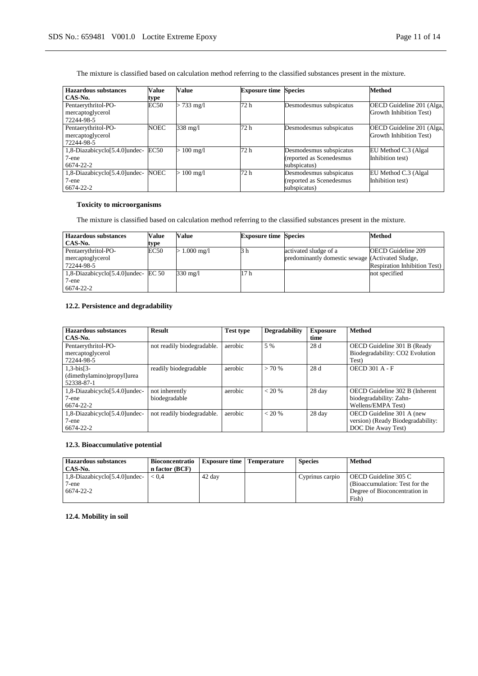The mixture is classified based on calculation method referring to the classified substances present in the mixture.

| <b>Hazardous</b> substances                           | <b>Value</b> | Value                | <b>Exposure time Species</b> |                                                                      | Method                                               |
|-------------------------------------------------------|--------------|----------------------|------------------------------|----------------------------------------------------------------------|------------------------------------------------------|
| CAS-No.                                               | type         |                      |                              |                                                                      |                                                      |
| Pentaerythritol-PO-<br>mercaptoglycerol<br>72244-98-5 | EC50         | $> 733 \text{ mg}/1$ | 72 h                         | Desmodesmus subspicatus                                              | OECD Guideline 201 (Alga,<br>Growth Inhibition Test) |
| Pentaerythritol-PO-<br>mercaptoglycerol<br>72244-98-5 | <b>NOEC</b>  | 338 mg/l             | 72 h                         | Desmodesmus subspicatus                                              | OECD Guideline 201 (Alga,<br>Growth Inhibition Test) |
| 1,8-Diazabicyclo[5.4.0]undec-<br>7-ene<br>6674-22-2   | EC50         | $100 \text{ mg}/1$   | 72 h                         | Desmodesmus subspicatus<br>(reported as Scenedesmus<br>subspicatus)  | EU Method C.3 (Algal<br>Inhibition test)             |
| 1,8-Diazabicyclo[5.4.0]undec-<br>7-ene<br>6674-22-2   | <b>NOEC</b>  | $100 \text{ mg}/1$   | 72 h                         | Desmodesmus subspicatus<br>(reported as Scenedesmus)<br>subspicatus) | EU Method C.3 (Algal)<br>Inhibition test)            |

### **Toxicity to microorganisms**

The mixture is classified based on calculation method referring to the classified substances present in the mixture.

| Hazardous substances                                               | Value | Value                     | <b>Exposure time Species</b> |                                                                           | Method                                                           |
|--------------------------------------------------------------------|-------|---------------------------|------------------------------|---------------------------------------------------------------------------|------------------------------------------------------------------|
| CAS-No.                                                            | type  |                           |                              |                                                                           |                                                                  |
| Pentaerythritol-PO-<br>mercaptoglycerol<br>72244-98-5              | EC50  | $> 1.000 \,\mathrm{mg}/l$ | 3 h                          | activated sludge of a<br>predominantly domestic sewage (Activated Sludge, | <b>OECD</b> Guideline 209<br><b>Respiration Inhibition Test)</b> |
| $\vert$ 1,8-Diazabicyclo[5.4.0] undec- EC 50<br>7-ene<br>6674-22-2 |       | $330 \text{ mg/l}$        | 17 <sub>h</sub>              |                                                                           | not specified                                                    |

### **12.2. Persistence and degradability**

| <b>Hazardous substances</b><br>CAS-No.                    | <b>Result</b>                   | <b>Test type</b> | <b>Degradability</b> | <b>Exposure</b><br>time | <b>Method</b>                                                                        |
|-----------------------------------------------------------|---------------------------------|------------------|----------------------|-------------------------|--------------------------------------------------------------------------------------|
| Pentaerythritol-PO-<br>mercaptoglycerol<br>72244-98-5     | not readily biodegradable.      | aerobic          | 5 %                  | 28d                     | OECD Guideline 301 B (Ready<br>Biodegradability: CO2 Evolution<br>Test)              |
| $1, 3-bis[3-$<br>(dimethylamino)propyl]urea<br>52338-87-1 | readily biodegradable           | aerobic          | > 70%                | 28d                     | <b>OECD 301 A - F</b>                                                                |
| 1,8-Diazabicyclo[5.4.0]undec-<br>7-ene<br>6674-22-2       | not inherently<br>biodegradable | aerobic          | $< 20\%$             | 28 day                  | OECD Guideline 302 B (Inherent<br>biodegradability: Zahn-<br>Wellens/EMPA Test)      |
| 1,8-Diazabicyclo[5.4.0]undec-<br>7-ene<br>6674-22-2       | not readily biodegradable.      | aerobic          | $< 20\%$             | 28 day                  | OECD Guideline 301 A (new<br>version) (Ready Biodegradability:<br>DOC Die Away Test) |

### **12.3. Bioaccumulative potential**

| <b>Hazardous substances</b>       | <b>Bioconcentratio</b> | <b>Exposure time   Temperature</b> | <b>Species</b>  | <b>Method</b>                  |
|-----------------------------------|------------------------|------------------------------------|-----------------|--------------------------------|
| CAS-No.                           | n factor (BCF)         |                                    |                 |                                |
| $1,8$ -Diazabicyclo[5.4.0] undec- | < 0.4                  | 42 day                             | Cyprinus carpio | OECD Guideline 305 C           |
| $7$ -ene                          |                        |                                    |                 | (Bioaccumulation: Test for the |
| 6674-22-2                         |                        |                                    |                 | Degree of Bioconcentration in  |
|                                   |                        |                                    |                 | Fish)                          |

**12.4. Mobility in soil**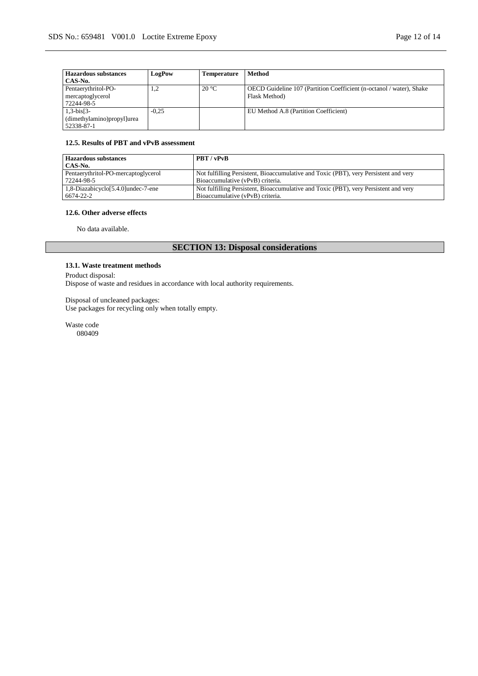| <b>Hazardous</b> substances<br>CAS-No.                   | LogPow  | Temperature    | Method                                                                                |
|----------------------------------------------------------|---------|----------------|---------------------------------------------------------------------------------------|
| Pentaerythritol-PO-<br>mercaptoglycerol<br>72244-98-5    | 1,2     | $20^{\circ}$ C | OECD Guideline 107 (Partition Coefficient (n-octanol / water), Shake<br>Flask Method) |
| $1,3-bis[3-$<br>(dimethylamino)propyl]urea<br>52338-87-1 | $-0.25$ |                | EU Method A.8 (Partition Coefficient)                                                 |

### **12.5. Results of PBT and vPvB assessment**

| Hazardous substances                | PBT / vPvB                                                                           |
|-------------------------------------|--------------------------------------------------------------------------------------|
| CAS-No.                             |                                                                                      |
| Pentaerythritol-PO-mercaptoglycerol | Not fulfilling Persistent, Bioaccumulative and Toxic (PBT), very Persistent and very |
| 72244-98-5                          | Bioaccumulative (vPvB) criteria.                                                     |
| 1,8-Diazabicyclo[5.4.0]undec-7-ene  | Not fulfilling Persistent, Bioaccumulative and Toxic (PBT), very Persistent and very |
| 6674-22-2                           | Bioaccumulative (vPvB) criteria.                                                     |

### **12.6. Other adverse effects**

No data available.

# **SECTION 13: Disposal considerations**

#### **13.1. Waste treatment methods**

Product disposal: Dispose of waste and residues in accordance with local authority requirements.

### Disposal of uncleaned packages:

Use packages for recycling only when totally empty.

Waste code 080409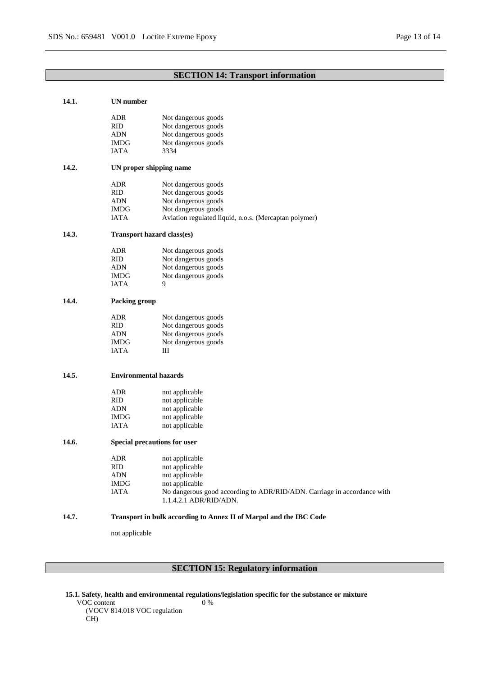# **SECTION 14: Transport information**

| 14.1. | <b>UN</b> number             |                                                                         |
|-------|------------------------------|-------------------------------------------------------------------------|
|       | ADR                          | Not dangerous goods                                                     |
|       | <b>RID</b>                   | Not dangerous goods                                                     |
|       | <b>ADN</b>                   | Not dangerous goods                                                     |
|       | IMDG                         | Not dangerous goods                                                     |
|       | <b>IATA</b>                  | 3334                                                                    |
| 14.2. |                              | UN proper shipping name                                                 |
|       | ADR                          | Not dangerous goods                                                     |
|       | RID                          | Not dangerous goods                                                     |
|       | <b>ADN</b>                   | Not dangerous goods                                                     |
|       | <b>IMDG</b>                  | Not dangerous goods                                                     |
|       | IATA                         | Aviation regulated liquid, n.o.s. (Mercaptan polymer)                   |
| 14.3. |                              | Transport hazard class(es)                                              |
|       | ADR                          | Not dangerous goods                                                     |
|       | <b>RID</b>                   | Not dangerous goods                                                     |
|       | ADN                          | Not dangerous goods                                                     |
|       | <b>IMDG</b>                  | Not dangerous goods                                                     |
|       | <b>IATA</b>                  | 9                                                                       |
| 14.4. | Packing group                |                                                                         |
|       | ADR                          | Not dangerous goods                                                     |
|       | <b>RID</b>                   | Not dangerous goods                                                     |
|       | ADN                          | Not dangerous goods                                                     |
|       | <b>IMDG</b>                  | Not dangerous goods                                                     |
|       | <b>IATA</b>                  | Ш                                                                       |
| 14.5. | <b>Environmental hazards</b> |                                                                         |
|       | ADR                          | not applicable                                                          |
|       | <b>RID</b>                   | not applicable                                                          |
|       | ADN                          | not applicable                                                          |
|       | <b>IMDG</b>                  | not applicable                                                          |
|       | <b>IATA</b>                  | not applicable                                                          |
| 14.6. |                              | Special precautions for user                                            |
|       | ADR                          | not applicable                                                          |
|       | RID                          | not applicable                                                          |
|       | <b>ADN</b>                   | not applicable                                                          |
|       | <b>IMDG</b>                  | not applicable                                                          |
|       | IATA                         | No dangerous good according to ADR/RID/ADN. Carriage in accordance with |
|       |                              | 1.1.4.2.1 ADR/RID/ADN.                                                  |
| 14.7. |                              | Transport in bulk according to Annex II of Marpol and the IBC Code      |
|       | not applicable               |                                                                         |
|       |                              |                                                                         |

# **SECTION 15: Regulatory information**

**15.1. Safety, health and environmental regulations/legislation specific for the substance or mixture** 0 %

VOC content (VOCV 814.018 VOC regulation CH)